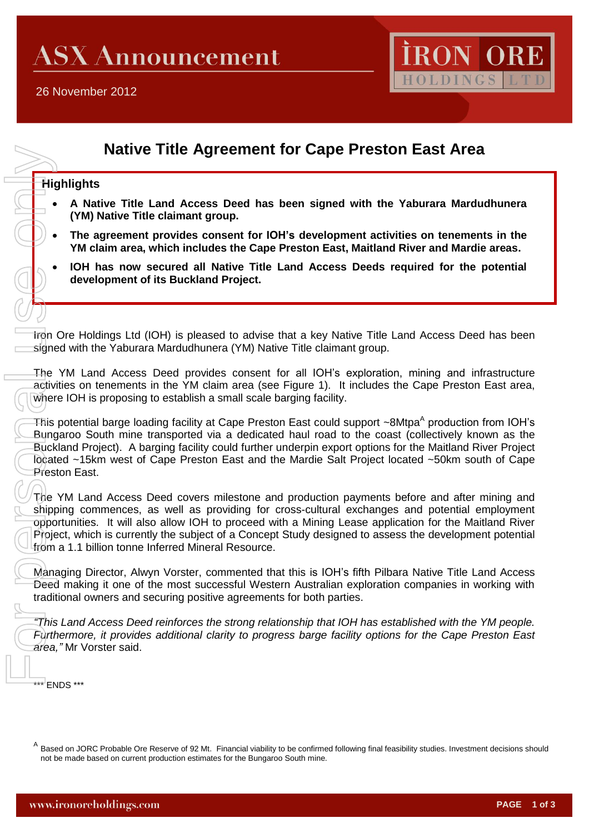

# **Native Title Agreement for Cape Preston East Area**

## **Highlights**

- **A Native Title Land Access Deed has been signed with the Yaburara Mardudhunera (YM) Native Title claimant group.**
- **The agreement provides consent for IOH's development activities on tenements in the YM claim area, which includes the Cape Preston East, Maitland River and Mardie areas.**
- **IOH has now secured all Native Title Land Access Deeds required for the potential development of its Buckland Project.**

Iron Ore Holdings Ltd (IOH) is pleased to advise that a key Native Title Land Access Deed has been signed with the Yaburara Mardudhunera (YM) Native Title claimant group.

The YM Land Access Deed provides consent for all IOH's exploration, mining and infrastructure activities on tenements in the YM claim area (see Figure 1). It includes the Cape Preston East area, where IOH is proposing to establish a small scale barging facility.

This potential barge loading facility at Cape Preston East could support ~8Mtpa<sup>A</sup> production from IOH's Bungaroo South mine transported via a dedicated haul road to the coast (collectively known as the Buckland Project). A barging facility could further underpin export options for the Maitland River Project located ~15km west of Cape Preston East and the Mardie Salt Project located ~50km south of Cape Preston East.

The YM Land Access Deed covers milestone and production payments before and after mining and shipping commences, as well as providing for cross-cultural exchanges and potential employment opportunities. It will also allow IOH to proceed with a Mining Lease application for the Maitland River Project, which is currently the subject of a Concept Study designed to assess the development potential from a 1.1 billion tonne Inferred Mineral Resource. His Sunce The Shipt<br>
The Sagne The Sunce The Sunce The Sunce The Sunce The Sunce The Sunce The Sunce The Sunce The Shipt<br>
This Buck President This Deed tradit This Furth area,

Managing Director, Alwyn Vorster, commented that this is IOH's fifth Pilbara Native Title Land Access Deed making it one of the most successful Western Australian exploration companies in working with traditional owners and securing positive agreements for both parties.

*"This Land Access Deed reinforces the strong relationship that IOH has established with the YM people. Furthermore, it provides additional clarity to progress barge facility options for the Cape Preston East area,"* Mr Vorster said.

\*\*\* ENDS \*\*\*

A Based on JORC Probable Ore Reserve of 92 Mt. Financial viability to be confirmed following final feasibility studies. Investment decisions should not be made based on current production estimates for the Bungaroo South mine.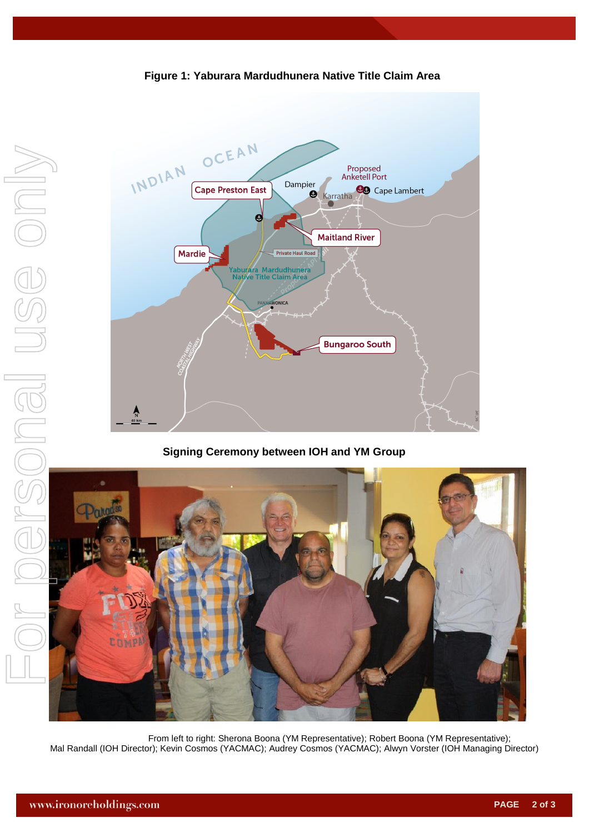

**Figure 1: Yaburara Mardudhunera Native Title Claim Area**

**Signing Ceremony between IOH and YM Group**



From left to right: Sherona Boona (YM Representative); Robert Boona (YM Representative); Mal Randall (IOH Director); Kevin Cosmos (YACMAC); Audrey Cosmos (YACMAC); Alwyn Vorster (IOH Managing Director)